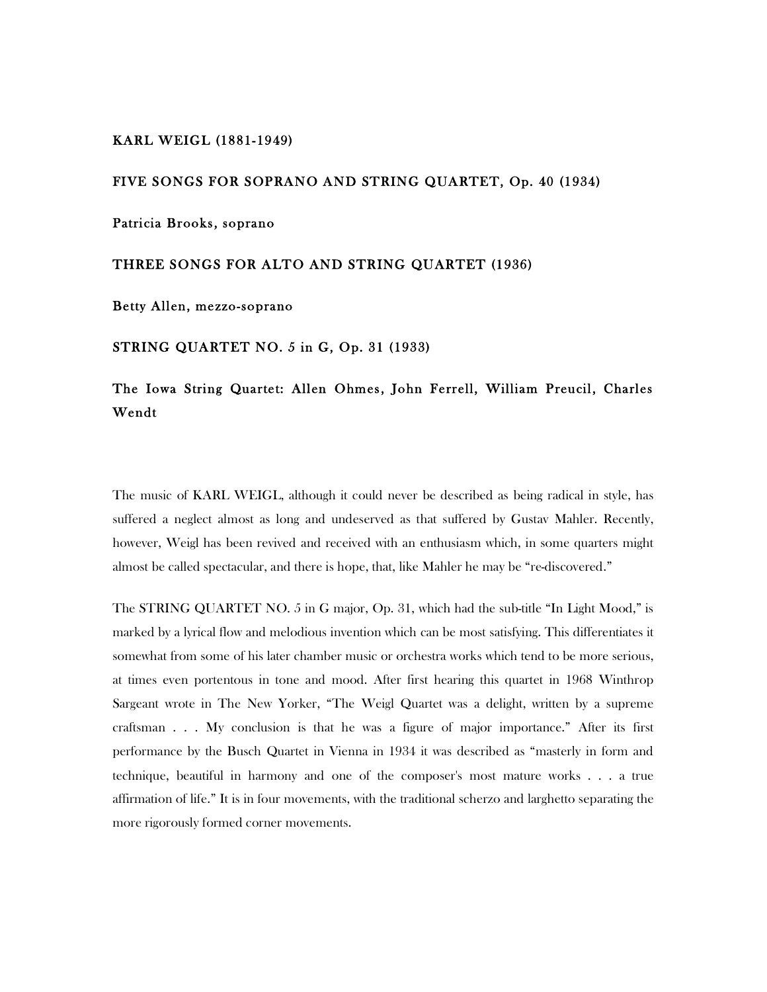## KARL WEIGL (1881-1949)

## FIVE SONGS FOR SOPRANO AND STRING QUARTET, Op. 40 (1934)

Patricia Brooks, soprano

## THREE SONGS FOR ALTO AND STRING QUARTET (1936)

Betty Allen, mezzo-soprano

STRING QUARTET NO. 5 in G, Op. 31 (1933)

## The Iowa String Quartet: Allen Ohmes, John Ferrell, William Preucil, Charles Wendt

The music of KARL WEIGL, although it could never be described as being radical in style, has suffered a neglect almost as long and undeserved as that suffered by Gustav Mahler. Recently, however, Weigl has been revived and received with an enthusiasm which, in some quarters might almost be called spectacular, and there is hope, that, like Mahler he may be "re-discovered."

The STRING QUARTET NO. 5 in G major, Op. 31, which had the sub-title "In Light Mood," is marked by a lyrical flow and melodious invention which can be most satisfying. This differentiates it somewhat from some of his later chamber music or orchestra works which tend to be more serious, at times even portentous in tone and mood. After first hearing this quartet in 1968 Winthrop Sargeant wrote in The New Yorker, "The Weigl Quartet was a delight, written by a supreme craftsman . . . My conclusion is that he was a figure of major importance." After its first performance by the Busch Quartet in Vienna in 1934 it was described as "masterly in form and technique, beautiful in harmony and one of the composer's most mature works . . . a true affirmation of life." It is in four movements, with the traditional scherzo and larghetto separating the more rigorously formed corner movements.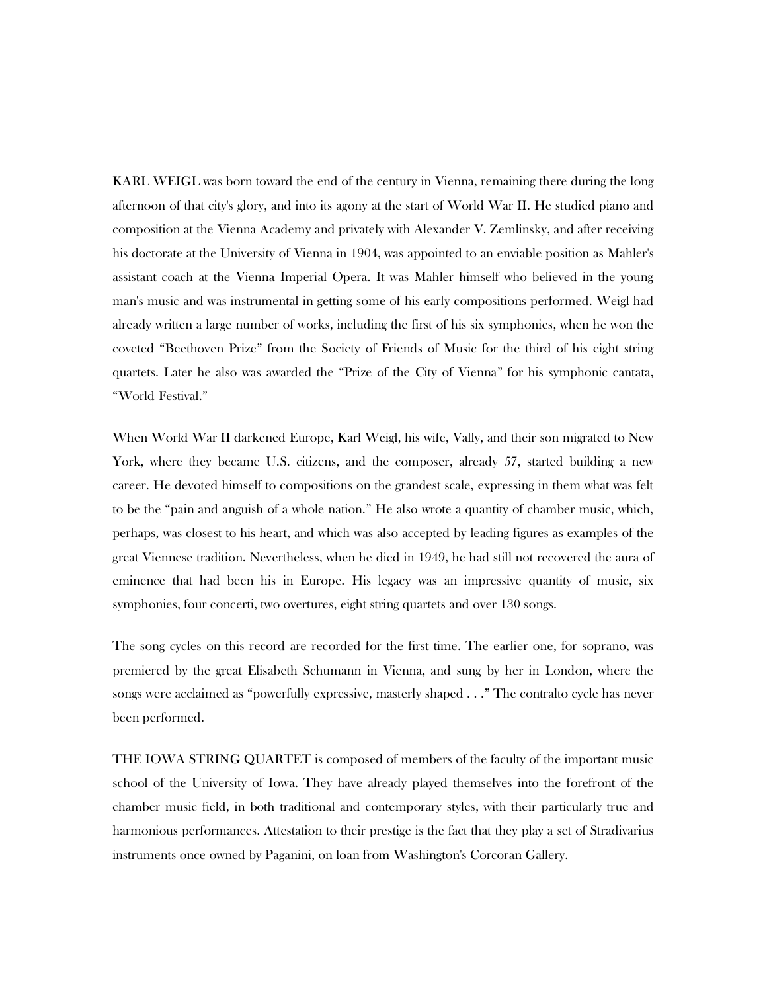KARL WEIGL was born toward the end of the century in Vienna, remaining there during the long afternoon of that city's glory, and into its agony at the start of World War II. He studied piano and composition at the Vienna Academy and privately with Alexander V. Zemlinsky, and after receiving his doctorate at the University of Vienna in 1904, was appointed to an enviable position as Mahler's assistant coach at the Vienna Imperial Opera. It was Mahler himself who believed in the young man's music and was instrumental in getting some of his early compositions performed. Weigl had already written a large number of works, including the first of his six symphonies, when he won the coveted "Beethoven Prize" from the Society of Friends of Music for the third of his eight string quartets. Later he also was awarded the "Prize of the City of Vienna" for his symphonic cantata, "World Festival."

When World War II darkened Europe, Karl Weigl, his wife, Vally, and their son migrated to New York, where they became U.S. citizens, and the composer, already 57, started building a new career. He devoted himself to compositions on the grandest scale, expressing in them what was felt to be the "pain and anguish of a whole nation." He also wrote a quantity of chamber music, which, perhaps, was closest to his heart, and which was also accepted by leading figures as examples of the great Viennese tradition. Nevertheless, when he died in 1949, he had still not recovered the aura of eminence that had been his in Europe. His legacy was an impressive quantity of music, six symphonies, four concerti, two overtures, eight string quartets and over 130 songs.

The song cycles on this record are recorded for the first time. The earlier one, for soprano, was premiered by the great Elisabeth Schumann in Vienna, and sung by her in London, where the songs were acclaimed as "powerfully expressive, masterly shaped . . ." The contralto cycle has never been performed.

THE IOWA STRING QUARTET is composed of members of the faculty of the important music school of the University of Iowa. They have already played themselves into the forefront of the chamber music field, in both traditional and contemporary styles, with their particularly true and harmonious performances. Attestation to their prestige is the fact that they play a set of Stradivarius instruments once owned by Paganini, on loan from Washington's Corcoran Gallery.